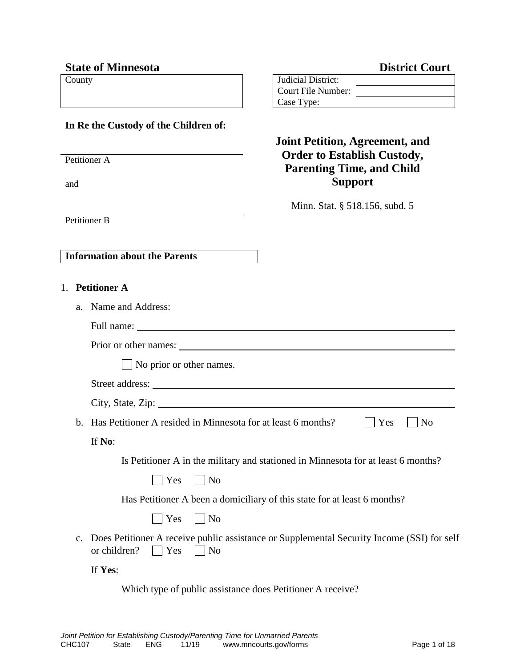## **State of Minnesota District Court**

#### **In Re the Custody of the Children of:**

Petitioner A

and

Petitioner B

| County | Judicial District: |  |
|--------|--------------------|--|
|        | Court File Number: |  |
|        | Case Type:         |  |

# **Joint Petition, Agreement, and Order to Establish Custody, Parenting Time, and Child Support**

Minn. Stat. § 518.156, subd. 5

**Information about the Parents**

- 1. **Petitioner A**
	- a. Name and Address:

| Full name: |
|------------|
|            |

|    | $\vert$ No prior or other names.                                                                                                         |
|----|------------------------------------------------------------------------------------------------------------------------------------------|
|    |                                                                                                                                          |
|    |                                                                                                                                          |
| b. | N <sub>0</sub><br>Has Petitioner A resided in Minnesota for at least 6 months?<br>Yes                                                    |
|    | If No:                                                                                                                                   |
|    | Is Petitioner A in the military and stationed in Minnesota for at least 6 months?                                                        |
|    | Yes<br>$\vert$   No                                                                                                                      |
|    | Has Petitioner A been a domiciliary of this state for at least 6 months?                                                                 |
|    | Yes<br>$\vert$   No                                                                                                                      |
|    | c. Does Petitioner A receive public assistance or Supplemental Security Income (SSI) for self<br>or children?<br>$ $ Yes<br>$\vert$   No |
|    | If Yes:                                                                                                                                  |

Which type of public assistance does Petitioner A receive?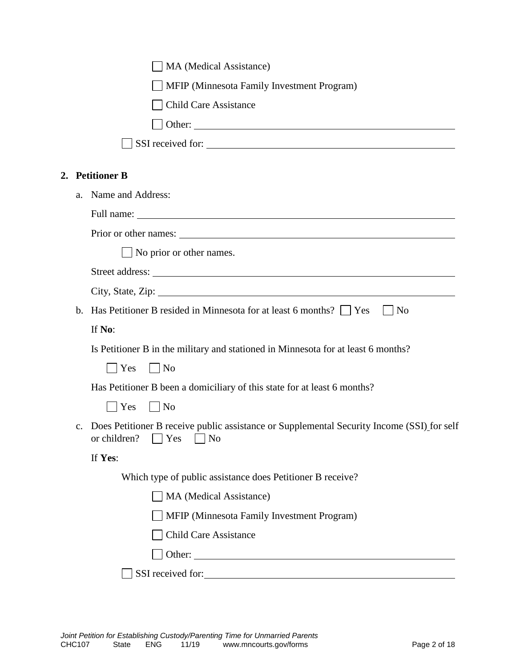|                | MA (Medical Assistance)                                                                                                                           |
|----------------|---------------------------------------------------------------------------------------------------------------------------------------------------|
|                | MFIP (Minnesota Family Investment Program)                                                                                                        |
|                | <b>Child Care Assistance</b>                                                                                                                      |
|                | $\Box$ Other: $\Box$                                                                                                                              |
|                | SSI received for:                                                                                                                                 |
|                | 2. Petitioner B                                                                                                                                   |
| a.             | Name and Address:                                                                                                                                 |
|                |                                                                                                                                                   |
|                | Prior or other names:                                                                                                                             |
|                | $\Box$ No prior or other names.                                                                                                                   |
|                |                                                                                                                                                   |
|                | City, State, Zip: 2008. City, State, Zip:                                                                                                         |
| $\mathbf{b}$ . | Has Petitioner B resided in Minnesota for at least 6 months?     Yes<br>N <sub>0</sub>                                                            |
|                | If No:                                                                                                                                            |
|                | Is Petitioner B in the military and stationed in Minnesota for at least 6 months?                                                                 |
|                | $ $ Yes<br>$\vert$   No                                                                                                                           |
|                | Has Petitioner B been a domiciliary of this state for at least 6 months?                                                                          |
|                | Yes<br>    No                                                                                                                                     |
| $\mathbf{c}$ . | Does Petitioner B receive public assistance or Supplemental Security Income (SSI) for self<br>or children?<br>$\vert \vert$ Yes<br>N <sub>o</sub> |
|                | If Yes:                                                                                                                                           |
|                | Which type of public assistance does Petitioner B receive?                                                                                        |
|                | MA (Medical Assistance)                                                                                                                           |
|                | MFIP (Minnesota Family Investment Program)                                                                                                        |
|                | <b>Child Care Assistance</b>                                                                                                                      |
|                | Other:                                                                                                                                            |
|                | SSI received for:                                                                                                                                 |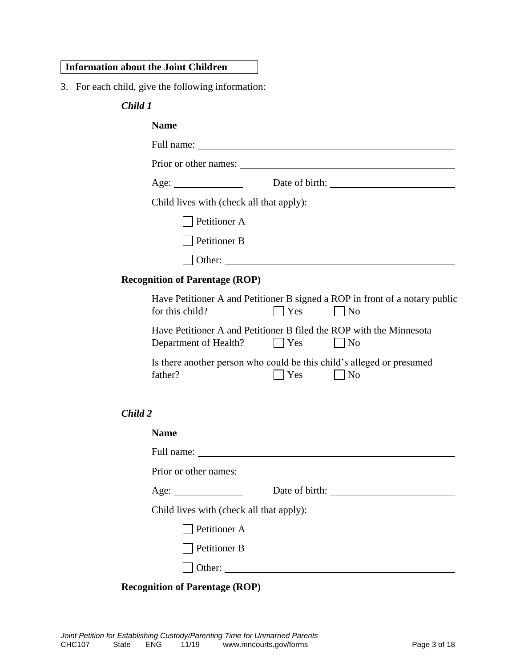#### **Information about the Joint Children**

3. For each child, give the following information:

#### *Child 1*

|         | <b>Name</b>                                                                                  |         |                                                                                       |
|---------|----------------------------------------------------------------------------------------------|---------|---------------------------------------------------------------------------------------|
|         |                                                                                              |         |                                                                                       |
|         |                                                                                              |         |                                                                                       |
|         |                                                                                              |         |                                                                                       |
|         | Child lives with (check all that apply):                                                     |         |                                                                                       |
|         | Petitioner A                                                                                 |         |                                                                                       |
|         | Petitioner B                                                                                 |         |                                                                                       |
|         |                                                                                              |         |                                                                                       |
|         | <b>Recognition of Parentage (ROP)</b>                                                        |         |                                                                                       |
|         | for this child?                                                                              | Yes     | Have Petitioner A and Petitioner B signed a ROP in front of a notary public<br>$ $ No |
|         | Have Petitioner A and Petitioner B filed the ROP with the Minnesota<br>Department of Health? | $ $ Yes | $\overline{N}$                                                                        |
|         | Is there another person who could be this child's alleged or presumed<br>father?             | Yes     | N <sub>o</sub>                                                                        |
| Child 2 |                                                                                              |         |                                                                                       |

| <b>Name</b>                              |        |  |
|------------------------------------------|--------|--|
|                                          |        |  |
|                                          |        |  |
|                                          |        |  |
| Child lives with (check all that apply): |        |  |
| $\Box$ Petitioner A                      |        |  |
| Petitioner B                             |        |  |
|                                          | Other: |  |
|                                          |        |  |

#### **Recognition of Parentage (ROP)**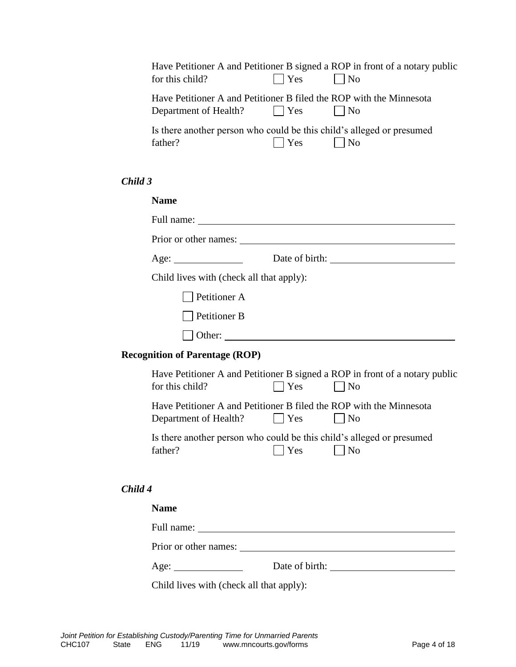|         | for this child?                                                                                      | Yes            | Have Petitioner A and Petitioner B signed a ROP in front of a notary public<br>$\vert$   No |
|---------|------------------------------------------------------------------------------------------------------|----------------|---------------------------------------------------------------------------------------------|
|         | Have Petitioner A and Petitioner B filed the ROP with the Minnesota<br>Department of Health?     Yes |                | $\vert$   No                                                                                |
|         | Is there another person who could be this child's alleged or presumed<br>father?                     | Yes            | $\blacksquare$ No                                                                           |
| Child 3 |                                                                                                      |                |                                                                                             |
|         | <b>Name</b>                                                                                          |                |                                                                                             |
|         | Full name:                                                                                           |                |                                                                                             |
|         | Prior or other names:                                                                                |                |                                                                                             |
|         | Age:                                                                                                 | Date of birth: |                                                                                             |

Child lives with (check all that apply):

Petitioner A

| Petitioner B |  |
|--------------|--|
|--------------|--|

Other:

#### **Recognition of Parentage (ROP)**

| for this child?       | $\Box$ Yes         | Have Petitioner A and Petitioner B signed a ROP in front of a notary public<br>N <sub>0</sub> |
|-----------------------|--------------------|-----------------------------------------------------------------------------------------------|
| Department of Health? | $\vert$ Yes        | Have Petitioner A and Petitioner B filed the ROP with the Minnesota<br>$N_{\Omega}$           |
| father?               | $\blacksquare$ Yes | Is there another person who could be this child's alleged or presumed<br>No                   |

#### *Child 4*

# **Name** Full name: Prior or other names: Age: Date of birth:

Child lives with (check all that apply):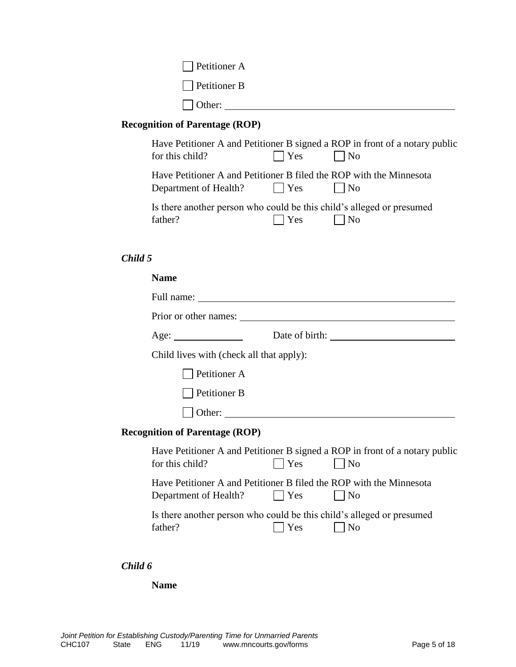| <b>Petitioner A</b> |  |
|---------------------|--|
| $\Box$ Petitioner B |  |
| $\vert$ Other:      |  |

# **Recognition of Parentage (ROP)**

| for this child?                                                                                         | $\Box$ Yes | Have Petitioner A and Petitioner B signed a ROP in front of a notary public<br>$\vert$ No |
|---------------------------------------------------------------------------------------------------------|------------|-------------------------------------------------------------------------------------------|
| Have Petitioner A and Petitioner B filed the ROP with the Minnesota<br>Department of Health? $\Box$ Yes |            | $\blacksquare$ No                                                                         |
| Is there another person who could be this child's alleged or presumed<br>father?                        | Yes        | $\lfloor$   No                                                                            |

#### *Child 5*

#### **Name**

| Age:                                                                                         |         | Date of birth:                                                                                |
|----------------------------------------------------------------------------------------------|---------|-----------------------------------------------------------------------------------------------|
| Child lives with (check all that apply):                                                     |         |                                                                                               |
| Petitioner A                                                                                 |         |                                                                                               |
| Petitioner B                                                                                 |         |                                                                                               |
|                                                                                              |         |                                                                                               |
| <b>Recognition of Parentage (ROP)</b>                                                        |         |                                                                                               |
| for this child?                                                                              | Yes     | Have Petitioner A and Petitioner B signed a ROP in front of a notary public<br>$\overline{N}$ |
| Have Petitioner A and Petitioner B filed the ROP with the Minnesota<br>Department of Health? | $ $ Yes | No                                                                                            |
| Is there another person who could be this child's alleged or presumed<br>father?             | Yes     | N <sub>o</sub>                                                                                |

### *Child 6*

**Name**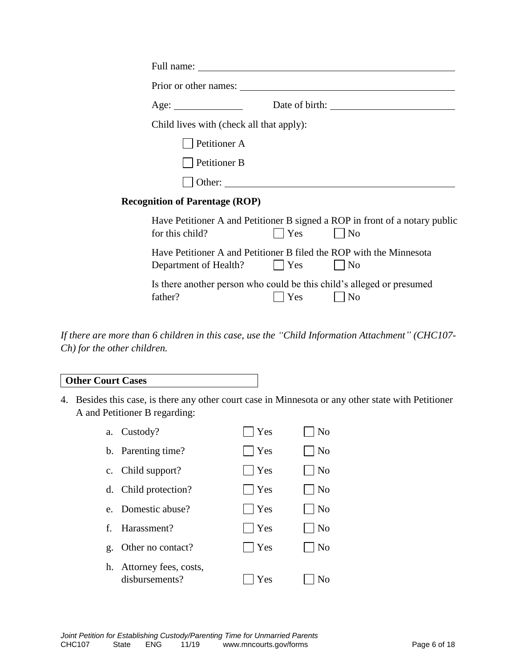|                                          |              |     | Prior or other names:                                                                       |  |
|------------------------------------------|--------------|-----|---------------------------------------------------------------------------------------------|--|
| Age:                                     |              |     |                                                                                             |  |
| Child lives with (check all that apply): |              |     |                                                                                             |  |
|                                          | Petitioner A |     |                                                                                             |  |
|                                          | Petitioner B |     |                                                                                             |  |
|                                          | Other:       |     |                                                                                             |  |
| <b>Recognition of Parentage (ROP)</b>    |              |     |                                                                                             |  |
| for this child?                          |              | Yes | Have Petitioner A and Petitioner B signed a ROP in front of a notary public<br>$\vert$   No |  |
| Department of Health? [Nes               |              |     | Have Petitioner A and Petitioner B filed the ROP with the Minnesota<br>$\vert$   No         |  |
| father?                                  |              | Yes | Is there another person who could be this child's alleged or presumed<br>$\vert$   No       |  |

*If there are more than 6 children in this case, use the "Child Information Attachment" (CHC107- Ch) for the other children.*

#### **Other Court Cases**

4. Besides this case, is there any other court case in Minnesota or any other state with Petitioner A and Petitioner B regarding:

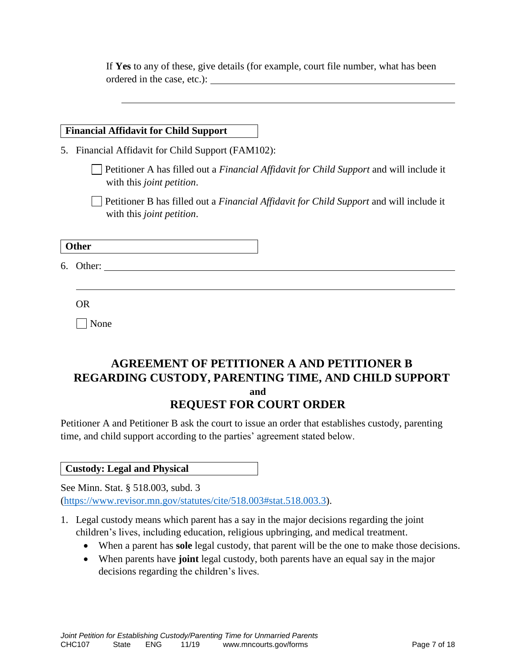If **Yes** to any of these, give details (for example, court file number, what has been ordered in the case, etc.):

#### **Financial Affidavit for Child Support**

5. Financial Affidavit for Child Support (FAM102):

Petitioner A has filled out a *Financial Affidavit for Child Support* and will include it with this *joint petition*.

Petitioner B has filled out a *Financial Affidavit for Child Support* and will include it with this *joint petition*.

**Other**

6. Other:

OR

None

# **AGREEMENT OF PETITIONER A AND PETITIONER B REGARDING CUSTODY, PARENTING TIME, AND CHILD SUPPORT and REQUEST FOR COURT ORDER**

Petitioner A and Petitioner B ask the court to issue an order that establishes custody, parenting time, and child support according to the parties' agreement stated below.

#### **Custody: Legal and Physical**

See Minn. Stat. § 518.003, subd. 3 [\(https://www.revisor.mn.gov/statutes/cite/518.003#stat.518.003.3\)](https://www.revisor.mn.gov/statutes/cite/518.003#stat.518.003.3).

- 1. Legal custody means which parent has a say in the major decisions regarding the joint children's lives, including education, religious upbringing, and medical treatment.
	- When a parent has **sole** legal custody, that parent will be the one to make those decisions.
	- When parents have **joint** legal custody, both parents have an equal say in the major decisions regarding the children's lives.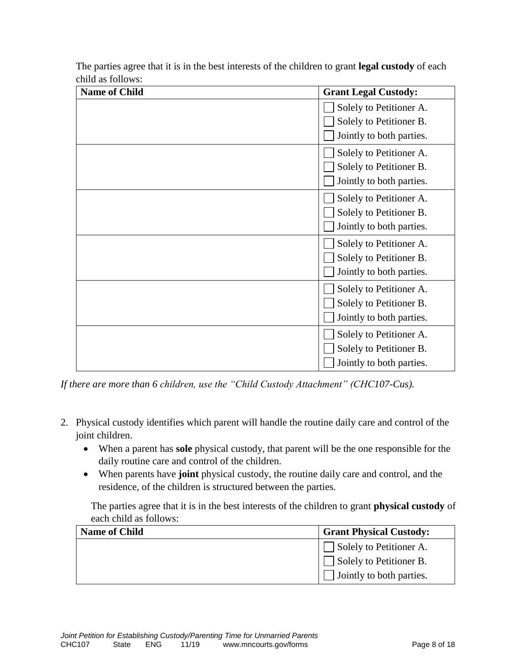| <b>Name of Child</b> | <b>Grant Legal Custody:</b> |
|----------------------|-----------------------------|
|                      | Solely to Petitioner A.     |
|                      | Solely to Petitioner B.     |
|                      | Jointly to both parties.    |
|                      | Solely to Petitioner A.     |
|                      | Solely to Petitioner B.     |
|                      | Jointly to both parties.    |
|                      | Solely to Petitioner A.     |
|                      | Solely to Petitioner B.     |
|                      | Jointly to both parties.    |
|                      | Solely to Petitioner A.     |
|                      | Solely to Petitioner B.     |
|                      | Jointly to both parties.    |
|                      | Solely to Petitioner A.     |
|                      | Solely to Petitioner B.     |
|                      | Jointly to both parties.    |
|                      | Solely to Petitioner A.     |
|                      | Solely to Petitioner B.     |
|                      | Jointly to both parties.    |

The parties agree that it is in the best interests of the children to grant **legal custody** of each child as follows:

*If there are more than 6 children, use the "Child Custody Attachment" (CHC107-Cus).*

- 2. Physical custody identifies which parent will handle the routine daily care and control of the joint children.
	- When a parent has **sole** physical custody, that parent will be the one responsible for the daily routine care and control of the children.
	- When parents have **joint** physical custody, the routine daily care and control, and the residence, of the children is structured between the parties.

The parties agree that it is in the best interests of the children to grant **physical custody** of each child as follows:

| <b>Name of Child</b> | <b>Grant Physical Custody:</b> |
|----------------------|--------------------------------|
|                      | Solely to Petitioner A.        |
|                      | Solely to Petitioner B.        |
|                      | Jointly to both parties.       |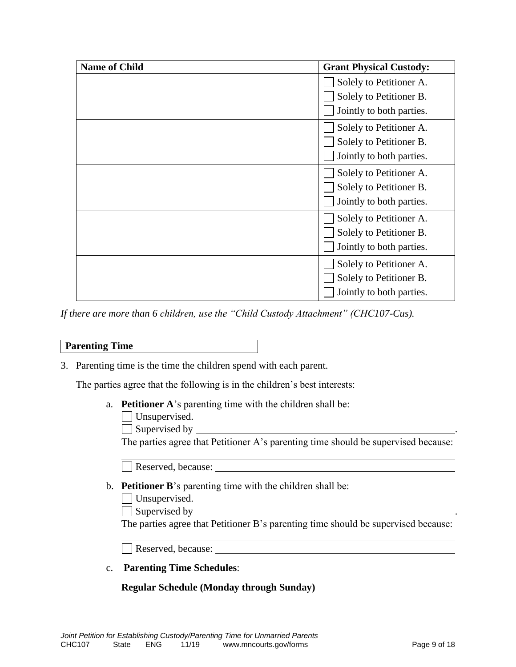| <b>Name of Child</b> | <b>Grant Physical Custody:</b> |
|----------------------|--------------------------------|
|                      | Solely to Petitioner A.        |
|                      | Solely to Petitioner B.        |
|                      | Jointly to both parties.       |
|                      | Solely to Petitioner A.        |
|                      | Solely to Petitioner B.        |
|                      | Jointly to both parties.       |
|                      | Solely to Petitioner A.        |
|                      | Solely to Petitioner B.        |
|                      | Jointly to both parties.       |
|                      | Solely to Petitioner A.        |
|                      | Solely to Petitioner B.        |
|                      | Jointly to both parties.       |
|                      | Solely to Petitioner A.        |
|                      | Solely to Petitioner B.        |
|                      | Jointly to both parties.       |

*If there are more than 6 children, use the "Child Custody Attachment" (CHC107-Cus).*

#### **Parenting Time**

3. Parenting time is the time the children spend with each parent.

The parties agree that the following is in the children's best interests:

- a. **Petitioner A**'s parenting time with the children shall be:
	- Unsupervised.

Supervised by .

The parties agree that Petitioner A's parenting time should be supervised because:

Reserved, because:

- b. **Petitioner B**'s parenting time with the children shall be:
	- Unsupervised.

 $\Box$  Supervised by  $\Box$ 

The parties agree that Petitioner B's parenting time should be supervised because:

Reserved, because:

c. **Parenting Time Schedules**:

#### **Regular Schedule (Monday through Sunday)**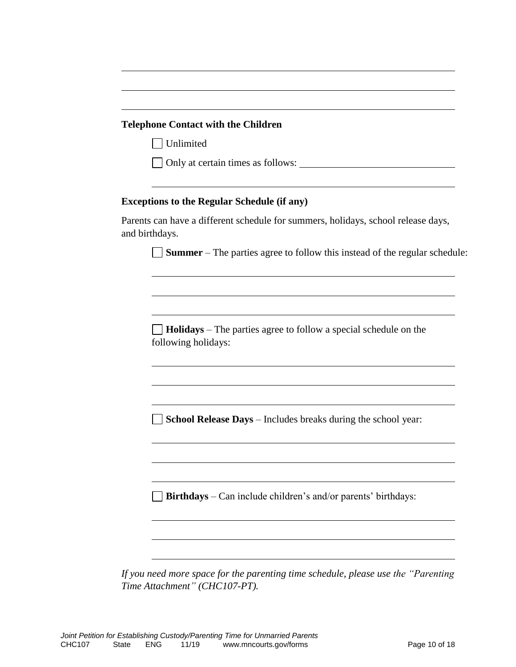#### **Telephone Contact with the Children**

Unlimited

Only at certain times as follows:

#### **Exceptions to the Regular Schedule (if any)**

Parents can have a different schedule for summers, holidays, school release days, and birthdays.

**Summer** – The parties agree to follow this instead of the regular schedule:

**Holidays** – The parties agree to follow a special schedule on the following holidays:

**School Release Days** – Includes breaks during the school year:

**Birthdays** – Can include children's and/or parents' birthdays:

*If you need more space for the parenting time schedule, please use the "Parenting Time Attachment" (CHC107-PT).*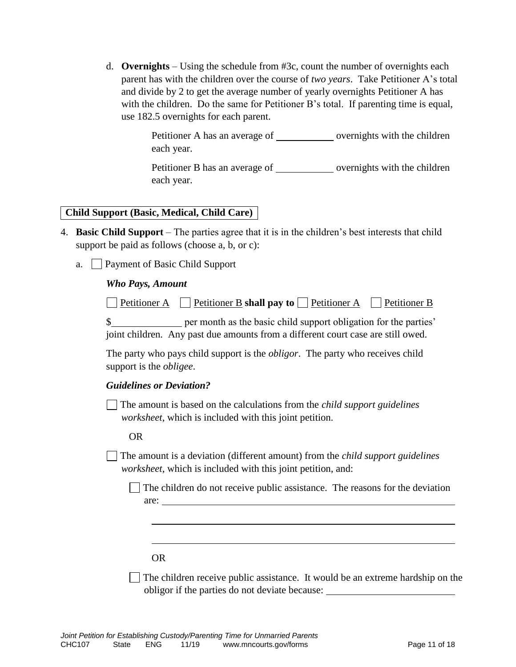d. **Overnights** – Using the schedule from #3c, count the number of overnights each parent has with the children over the course of *two years*. Take Petitioner A's total and divide by 2 to get the average number of yearly overnights Petitioner A has with the children. Do the same for Petitioner B's total. If parenting time is equal, use 182.5 overnights for each parent.

> Petitioner A has an average of \_\_\_\_\_\_\_\_\_\_\_\_\_ overnights with the children each year.

> Petitioner B has an average of overnights with the children each year.

#### **Child Support (Basic, Medical, Child Care)**

- 4. **Basic Child Support** The parties agree that it is in the children's best interests that child support be paid as follows (choose a, b, or c):
	- a. Payment of Basic Child Support

#### *Who Pays, Amount*

| $\Box$ Petitioner A |  |  |  |  | Petitioner B shall pay to $\Box$ Petitioner A |  | $\Box$ Petitioner B |
|---------------------|--|--|--|--|-----------------------------------------------|--|---------------------|
|---------------------|--|--|--|--|-----------------------------------------------|--|---------------------|

\$ joint children. Any past due amounts from a different court case are still owed.

The party who pays child support is the *obligor*. The party who receives child support is the *obligee*.

#### *Guidelines or Deviation?*

The amount is based on the calculations from the *child support guidelines worksheet*, which is included with this joint petition.

#### OR

The amount is a deviation (different amount) from the *child support guidelines worksheet*, which is included with this joint petition, and:

The children do not receive public assistance. The reasons for the deviation are:

#### OR

 $\Box$  The children receive public assistance. It would be an extreme hardship on the obligor if the parties do not deviate because: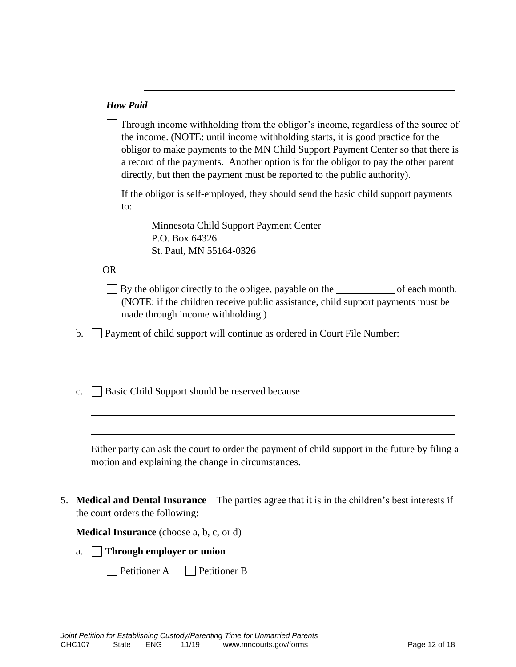#### *How Paid*

| $\Box$ Through income withholding from the obligor's income, regardless of the source of |  |
|------------------------------------------------------------------------------------------|--|
| the income. (NOTE: until income withholding starts, it is good practice for the          |  |
| obligor to make payments to the MN Child Support Payment Center so that there is         |  |
| a record of the payments. Another option is for the obligor to pay the other parent      |  |
| directly, but then the payment must be reported to the public authority).                |  |

If the obligor is self-employed, they should send the basic child support payments to:

Minnesota Child Support Payment Center P.O. Box 64326 St. Paul, MN 55164-0326

#### OR

 $\Box$  By the obligor directly to the obligee, payable on the  $\Box$  of each month. (NOTE: if the children receive public assistance, child support payments must be made through income withholding.)

b.  $\Box$  Payment of child support will continue as ordered in Court File Number:

c. Basic Child Support should be reserved because \_\_\_\_\_\_\_\_\_\_\_\_\_\_\_\_\_\_\_\_\_\_\_\_\_\_\_\_\_\_

Either party can ask the court to order the payment of child support in the future by filing a motion and explaining the change in circumstances.

5. **Medical and Dental Insurance** – The parties agree that it is in the children's best interests if the court orders the following:

**Medical Insurance** (choose a, b, c, or d)

a. **Through employer or union** 

Petitioner A Petitioner B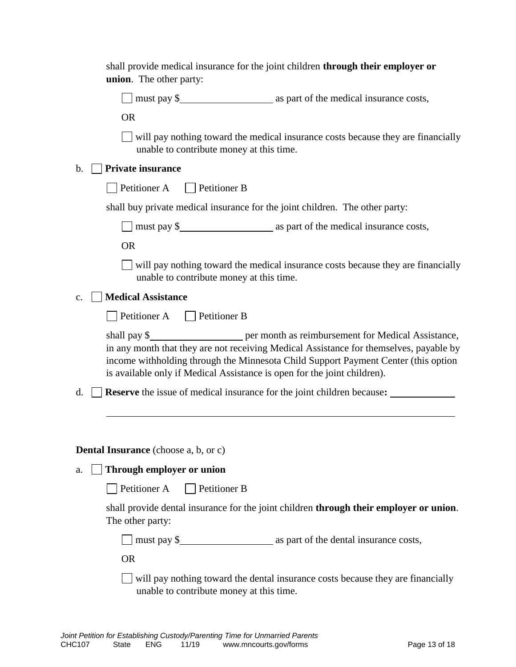| shall provide medical insurance for the joint children through their employer or<br>union. The other party:                                                                                                                                                                                                                                         |  |
|-----------------------------------------------------------------------------------------------------------------------------------------------------------------------------------------------------------------------------------------------------------------------------------------------------------------------------------------------------|--|
| □ must pay \$<br>must pay \$<br>must pay \$<br>must pay \$<br>must pay \$<br>must pay \$<br>must pay \$<br>must pay \$<br>must pay \$<br>must pay also help and the medical insurance costs,                                                                                                                                                        |  |
| <b>OR</b>                                                                                                                                                                                                                                                                                                                                           |  |
| $\Box$ will pay nothing toward the medical insurance costs because they are financially<br>unable to contribute money at this time.                                                                                                                                                                                                                 |  |
| <b>Private insurance</b><br>$\mathbf b$ .                                                                                                                                                                                                                                                                                                           |  |
| Petitioner A Petitioner B                                                                                                                                                                                                                                                                                                                           |  |
| shall buy private medical insurance for the joint children. The other party:                                                                                                                                                                                                                                                                        |  |
| □ must pay \$<br><u>nething</u> as part of the medical insurance costs,                                                                                                                                                                                                                                                                             |  |
| <b>OR</b>                                                                                                                                                                                                                                                                                                                                           |  |
| $\Box$ will pay nothing toward the medical insurance costs because they are financially<br>unable to contribute money at this time.                                                                                                                                                                                                                 |  |
| <b>Medical Assistance</b><br>c.                                                                                                                                                                                                                                                                                                                     |  |
| $\Box$ Petitioner A $\Box$ Petitioner B                                                                                                                                                                                                                                                                                                             |  |
| shall pay \$________________________ per month as reimbursement for Medical Assistance,<br>in any month that they are not receiving Medical Assistance for themselves, payable by<br>income withholding through the Minnesota Child Support Payment Center (this option<br>is available only if Medical Assistance is open for the joint children). |  |
| <b>Reserve</b> the issue of medical insurance for the joint children because:<br>d.                                                                                                                                                                                                                                                                 |  |
| <b>Dental Insurance</b> (choose a, b, or c)                                                                                                                                                                                                                                                                                                         |  |
| Through employer or union<br>a.                                                                                                                                                                                                                                                                                                                     |  |
| Petitioner A<br>  Petitioner B                                                                                                                                                                                                                                                                                                                      |  |
| shall provide dental insurance for the joint children through their employer or union.<br>The other party:                                                                                                                                                                                                                                          |  |
| $\Box$ must pay \$ $\Box$ as part of the dental insurance costs,                                                                                                                                                                                                                                                                                    |  |
| <b>OR</b>                                                                                                                                                                                                                                                                                                                                           |  |
| $\Box$ will pay nothing toward the dental insurance costs because they are financially<br>unable to contribute money at this time.                                                                                                                                                                                                                  |  |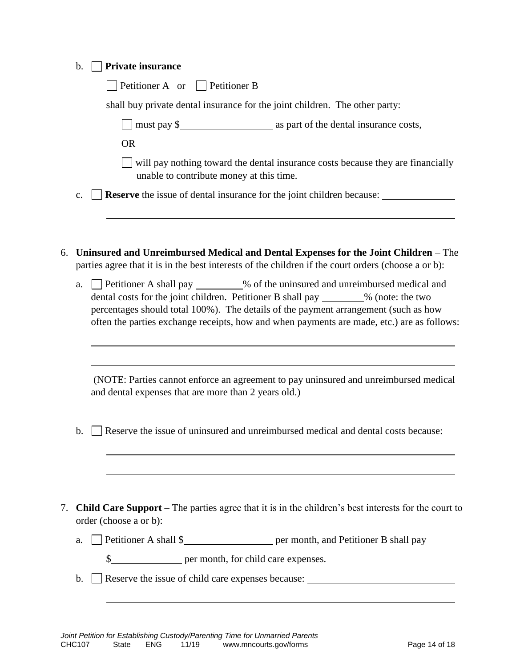| b. |  | $\Box$ Private insurance |
|----|--|--------------------------|
|----|--|--------------------------|

| $\Box$ Petitioner A or $\Box$ Petitioner B                                  |  |
|-----------------------------------------------------------------------------|--|
| shall buy private dental insurance for the joint children. The other party: |  |

must pay \$ as part of the dental insurance costs,

OR

will pay nothing toward the dental insurance costs because they are financially unable to contribute money at this time.

c.  $\Box$  **Reserve** the issue of dental insurance for the joint children because:

- 6. **Uninsured and Unreimbursed Medical and Dental Expenses for the Joint Children** The parties agree that it is in the best interests of the children if the court orders (choose a or b):
	- a.  $\Box$  Petitioner A shall pay \_\_\_\_\_\_\_\_% of the uninsured and unreimbursed medical and dental costs for the joint children. Petitioner B shall pay  $\%$  (note: the two percentages should total 100%). The details of the payment arrangement (such as how often the parties exchange receipts, how and when payments are made, etc.) are as follows:

(NOTE: Parties cannot enforce an agreement to pay uninsured and unreimbursed medical and dental expenses that are more than 2 years old.)

- b.  $\Box$  Reserve the issue of uninsured and unreimbursed medical and dental costs because:
- 7. **Child Care Support**  The parties agree that it is in the children's best interests for the court to order (choose a or b):
	- a.  $\Box$  Petitioner A shall \$ per month, and Petitioner B shall pay
		- \$
	- b. Reserve the issue of child care expenses because: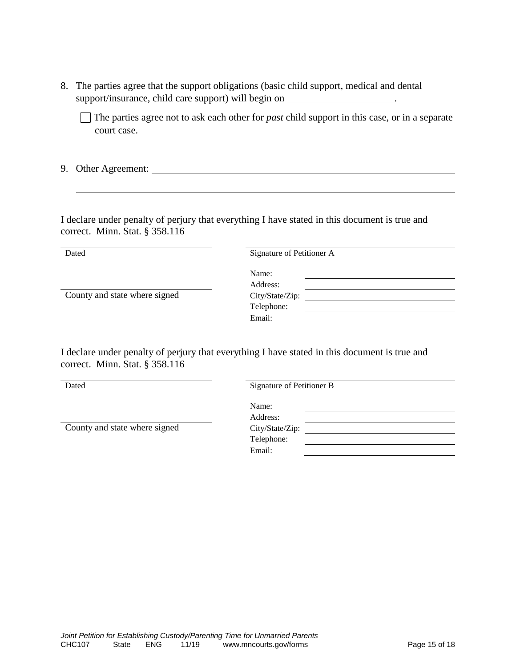8. The parties agree that the support obligations (basic child support, medical and dental support/insurance, child care support) will begin on \_\_\_\_\_\_\_\_\_\_\_\_\_\_\_\_\_\_\_\_\_\_\_\_\_\_\_\_

 $\Box$  The parties agree not to ask each other for *past* child support in this case, or in a separate court case.

9. Other Agreement:

I declare under penalty of perjury that everything I have stated in this document is true and correct. Minn. Stat. § 358.116

Dated Signature of Petitioner A

| County and state where signed |  |  |
|-------------------------------|--|--|
|-------------------------------|--|--|

Address: igned City/State/Zip: Telephone: Email:

Name:

I declare under penalty of perjury that everything I have stated in this document is true and correct. Minn. Stat. § 358.116

Dated Signature of Petitioner B

County and state where signed

| Signature of Petitioner B |  |  |  |  |
|---------------------------|--|--|--|--|
| Name:                     |  |  |  |  |
| Address:                  |  |  |  |  |
| City/State/Zip:           |  |  |  |  |
| Telephone:                |  |  |  |  |
| Email:                    |  |  |  |  |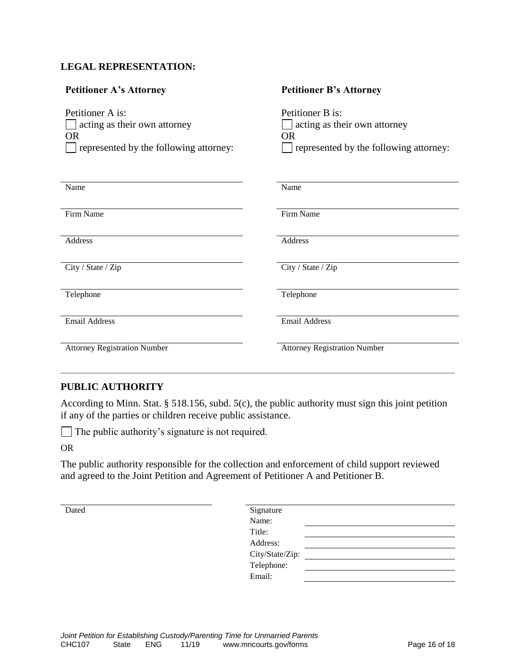#### **LEGAL REPRESENTATION:**

| <b>Petitioner A's Attorney</b>                                                                          | <b>Petitioner B's Attorney</b>                                                                    |
|---------------------------------------------------------------------------------------------------------|---------------------------------------------------------------------------------------------------|
| Petitioner A is:<br>acting as their own attorney<br><b>OR</b><br>represented by the following attorney: | Petitioner B is:<br>acting as their own attorney<br>OR.<br>represented by the following attorney: |
| Name                                                                                                    | Name                                                                                              |
| Firm Name                                                                                               | Firm Name                                                                                         |
| Address                                                                                                 | Address                                                                                           |
| City / State / Zip                                                                                      | City / State / Zip                                                                                |
| Telephone                                                                                               | Telephone                                                                                         |
| <b>Email Address</b>                                                                                    | <b>Email Address</b>                                                                              |
| <b>Attorney Registration Number</b>                                                                     | <b>Attorney Registration Number</b>                                                               |

#### **PUBLIC AUTHORITY**

According to Minn. Stat. § 518.156, subd. 5(c), the public authority must sign this joint petition if any of the parties or children receive public assistance.

The public authority's signature is not required.

OR

The public authority responsible for the collection and enforcement of child support reviewed and agreed to the Joint Petition and Agreement of Petitioner A and Petitioner B.

| Dated | Signature       |
|-------|-----------------|
|       | Name:           |
|       | Title:          |
|       | Address:        |
|       | City/State/Zip: |
|       | Telephone:      |
|       | Email:          |
|       |                 |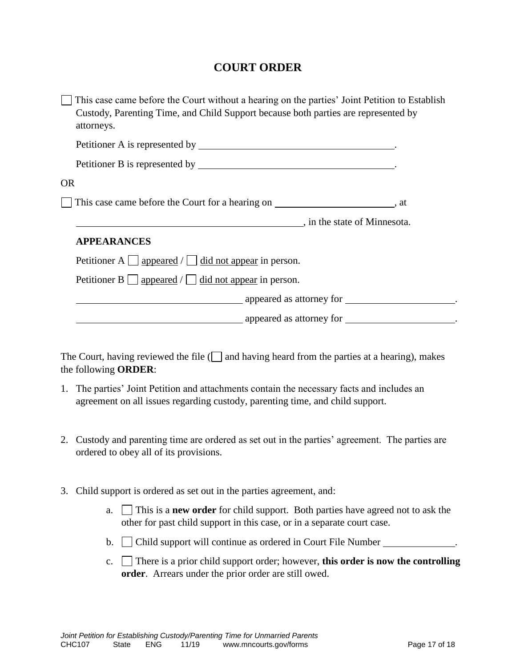# **COURT ORDER**

| This case came before the Court without a hearing on the parties' Joint Petition to Establish<br>Custody, Parenting Time, and Child Support because both parties are represented by<br>attorneys. |  |
|---------------------------------------------------------------------------------------------------------------------------------------------------------------------------------------------------|--|
|                                                                                                                                                                                                   |  |
|                                                                                                                                                                                                   |  |
| <b>OR</b>                                                                                                                                                                                         |  |
| This case came before the Court for a hearing on ______________________________, at                                                                                                               |  |
| in the state of Minnesota.                                                                                                                                                                        |  |
| <b>APPEARANCES</b>                                                                                                                                                                                |  |
| Petitioner A $\Box$ appeared $\Box$ did not appear in person.                                                                                                                                     |  |
| Petitioner B $\Box$ appeared $\Box$ did not appear in person.                                                                                                                                     |  |
| appeared as attorney for <u>example</u> .                                                                                                                                                         |  |
| appeared as attorney for _________________________.                                                                                                                                               |  |

The Court, having reviewed the file  $\Box$  and having heard from the parties at a hearing), makes the following **ORDER**:

- 1. The parties' Joint Petition and attachments contain the necessary facts and includes an agreement on all issues regarding custody, parenting time, and child support.
- 2. Custody and parenting time are ordered as set out in the parties' agreement. The parties are ordered to obey all of its provisions.
- 3. Child support is ordered as set out in the parties agreement, and:
	- a. This is a **new order** for child support. Both parties have agreed not to ask the other for past child support in this case, or in a separate court case.
	- b.  $\Box$  Child support will continue as ordered in Court File Number  $\Box$
	- c. There is a prior child support order; however, **this order is now the controlling order**. Arrears under the prior order are still owed.